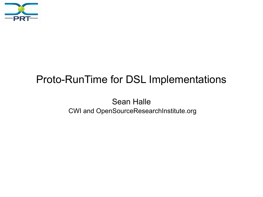

#### Proto-RunTime for DSL Implementations

Sean Halle CWI and OpenSourceResearchInstitute.org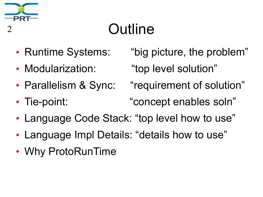

# **Outline**

- 
- 
- 
- Runtime Systems: "big picture, the problem"
- Modularization: "top level solution"
- Parallelism & Sync: "requirement of solution"
- Tie-point: "concept enables soln"
- Language Code Stack: "top level how to use"
- Language Impl Details: "details how to use"
- Why ProtoRunTime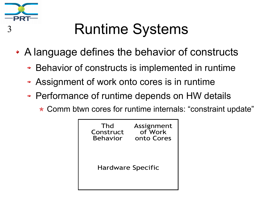

# <sup>3</sup> Runtime Systems

- A language defines the behavior of constructs
	- **Behavior of constructs is implemented in runtime**
	- Assignment of work onto cores is in runtime
	- Performance of runtime depends on HW details
		- \* Comm btwn cores for runtime internals: "constraint update"

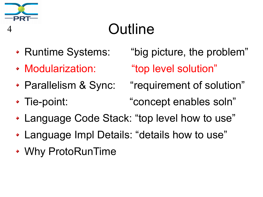

# **Outline**

- 
- 
- 
- Runtime Systems: "big picture, the problem"
- Modularization: "top level solution"
- Parallelism & Sync: "requirement of solution"
- Tie-point: "concept enables soln"
- Language Code Stack: "top level how to use"
- Language Impl Details: "details how to use"
- Why ProtoRunTime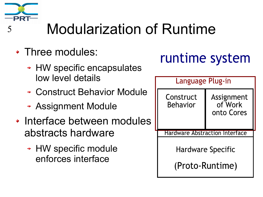

# <sup>5</sup> Modularization of Runtime

- Three modules:
	- **+ HW specific encapsulates** low level details
	- Construct Behavior Module
	- Assignment Module
- Interface between modules abstracts hardware
	- HW specific module enforces interface

#### runtime system

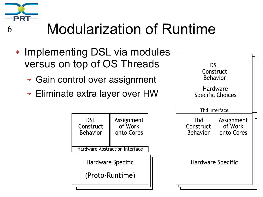

### <sup>6</sup> Modularization of Runtime

- Implementing DSL via modules versus on top of OS Threads
	- + Gain control over assignment
	- Eliminate extra layer over HW



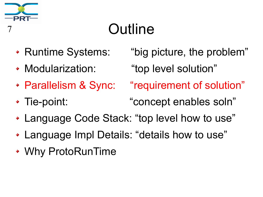

# **Outline**

- 
- 
- 
- Tie-point: "concept enables soln"
- Language Code Stack: "top level how to use"
- Language Impl Details: "details how to use"
- Why ProtoRunTime

• Runtime Systems: "big picture, the problem"

Modularization: "top level solution"

Parallelism & Sync: "requirement of solution"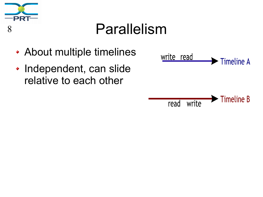

#### <sup>8</sup> Parallelism

- About multiple timelines
- Independent, can slide relative to each other

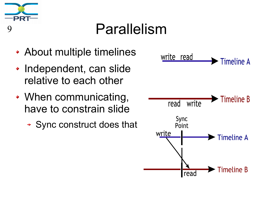

#### <sup>9</sup> Parallelism

- About multiple timelines
- Independent, can slide relative to each other
- When communicating, have to constrain slide
	- Sync construct does that

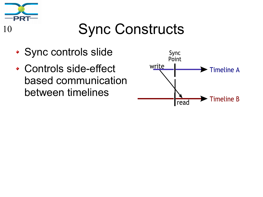

### 10 Sync Constructs

- Sync controls slide
- Controls side-effect based communication between timelines

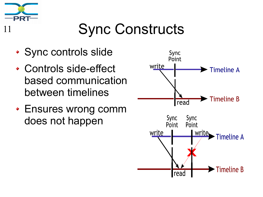

### **Sync Constructs**

- Sync controls slide
- Controls side-effect based communication between timelines
- Ensures wrong comm does not happen

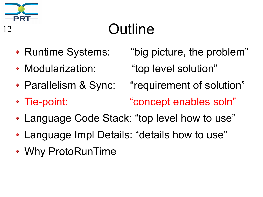

# <sup>12</sup> Outline

- Runtime Systems: "big picture, the problem"
- Modularization: "top level solution"
- 
- Parallelism & Sync: "requirement of solution"
- Tie-point: "concept enables soln"
- Language Code Stack: "top level how to use"
- Language Impl Details: "details how to use"
- Why ProtoRunTime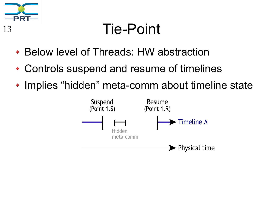

#### <sup>13</sup> Tie-Point

- Below level of Threads: HW abstraction
- Controls suspend and resume of timelines
- Implies "hidden" meta-comm about timeline state

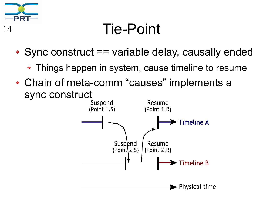

#### <sup>14</sup> Tie-Point

- Sync construct == variable delay, causally ended
	- Things happen in system, cause timeline to resume
- Chain of meta-comm "causes" implements a sync construct<br>Suspend

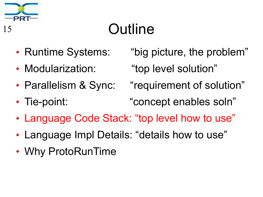

# <sup>15</sup> Outline

- 
- 
- 

• Runtime Systems: "big picture, the problem"

Modularization: "top level solution"

- Parallelism & Sync: "requirement of solution"
- Tie-point: "concept enables soln"
- Language Code Stack: "top level how to use"
- Language Impl Details: "details how to use"
- Why ProtoRunTime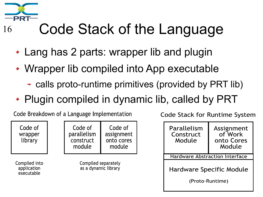

# 16 Code Stack of the Language

- Lang has 2 parts: wrapper lib and plugin
- Wrapper lib compiled into App executable
	- calls proto-runtime primitives (provided by PRT lib)
- Plugin compiled in dynamic lib, called by PRT

Code Breakdown of a Language Implementation

Code of wrapper library

Code of Code of parallelism assignment construct onto cores module module

Compiled into application executable

Compiled separately as a dynamic library

**Code Stack for Runtime System** 

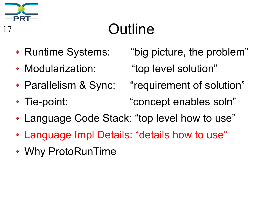

# <sup>17</sup> Outline

- 
- 
- 
- Runtime Systems: "big picture, the problem"
- Modularization: "top level solution"
- Parallelism & Sync: "requirement of solution"
- Tie-point: "concept enables soln"
- Language Code Stack: "top level how to use"
- Language Impl Details: "details how to use"
- Why ProtoRunTime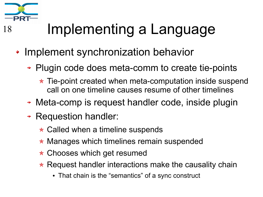

# <sup>18</sup> Implementing a Language

- Implement synchronization behavior
	- Plugin code does meta-comm to create tie-points
		- \* Tie-point created when meta-computation inside suspend call on one timeline causes resume of other timelines
	- Meta-comp is request handler code, inside plugin
	- **Requestion handler:** 
		- $\star$  Called when a timeline suspends
		- \* Manages which timelines remain suspended
		- \* Chooses which get resumed
		- $\star$  Request handler interactions make the causality chain
			- That chain is the "semantics" of a sync construct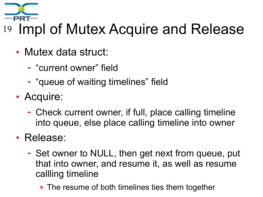

# <sup>19</sup> Impl of Mutex Acquire and Release

- Mutex data struct:
	- "current owner" field
	- + "queue of waiting timelines" field
- Acquire:
	- Check current owner, if full, place calling timeline into queue, else place calling timeline into owner

#### Release:

- Set owner to NULL, then get next from queue, put that into owner, and resume it, as well as resume callling timeline
	- \* The resume of both timelines ties them together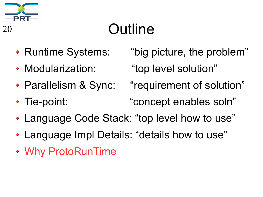

# <sup>20</sup> Outline

- 
- 
- 
- Runtime Systems: "big picture, the problem"
- Modularization: "top level solution"
- Parallelism & Sync: "requirement of solution"
- Tie-point: "concept enables soln"
- Language Code Stack: "top level how to use"
- Language Impl Details: "details how to use"
- Why ProtoRunTime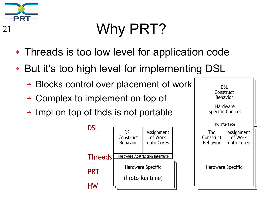

# <sup>21</sup> Why PRT?

- Threads is too low level for application code
- ◆ But it's too high level for implementing DSL
	- Blocks control over placement of work ÷
	- Complex to implement on top of
	- $\rightarrow$  Impl on top of thds is not portable



**DSL** Construct Behavior

Hardware **Specific Choices**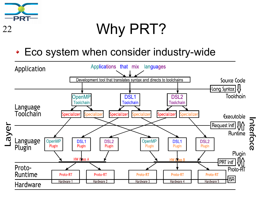

#### <sup>22</sup> Why PRT?

Eco system when consider industry-wide

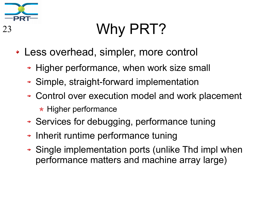

# 23 Why PRT?

- Less overhead, simpler, more control
	- + Higher performance, when work size small
	- Simple, straight-forward implementation
	- Control over execution model and work placement
		- $\star$  Higher performance
	- Services for debugging, performance tuning
	- $\rightarrow$  Inherit runtime performance tuning
	- Single implementation ports (unlike Thd impl when performance matters and machine array large)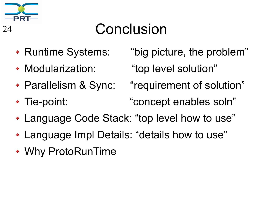

#### <sup>24</sup> Conclusion

- 
- 
- 
- Runtime Systems: "big picture, the problem"
- Modularization: "top level solution"
- Parallelism & Sync: "requirement of solution"
- Tie-point: "concept enables soln"
- Language Code Stack: "top level how to use"
- Language Impl Details: "details how to use"
- Why ProtoRunTime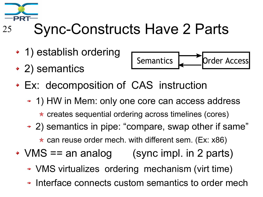

# <sup>25</sup> Sync-Constructs Have 2 Parts

- 1) establish ordering
- 2) semantics



- Ex: decomposition of CAS instruction
	- 1) HW in Mem: only one core can access address

\* creates sequential ordering across timelines (cores)

2) semantics in pipe: "compare, swap other if same"

 $\star$  can reuse order mech. with different sem. (Ex: x86)

- $VMS == an analog$  (sync impl. in 2 parts)
	- VMS virtualizes ordering mechanism (virt time)
	- Interface connects custom semantics to order mech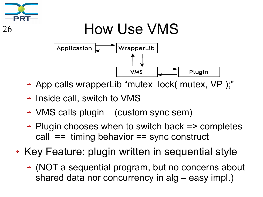

# 26 How Use VMS



- App calls wrapperLib "mutex lock( mutex, VP );"
- **+ Inside call, switch to VMS**
- VMS calls plugin (custom sync sem)
- Plugin chooses when to switch back => completes call == timing behavior == sync construct
- Key Feature: plugin written in sequential style
	- (NOT a sequential program, but no concerns about shared data nor concurrency in alg – easy impl.)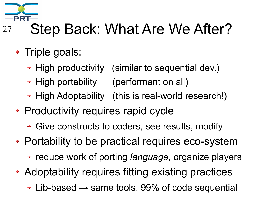

### <sup>27</sup> Step Back: What Are We After?

- Triple goals:
	- + High productivity (similar to sequential dev.)
	- High portability (performant on all)
	- + High Adoptability (this is real-world research!)
- Productivity requires rapid cycle
	- Give constructs to coders, see results, modify
- Portability to be practical requires eco-system
	- reduce work of porting *language,* organize players
- Adoptability requires fitting existing practices
	- $\div$  Lib-based  $\rightarrow$  same tools, 99% of code sequential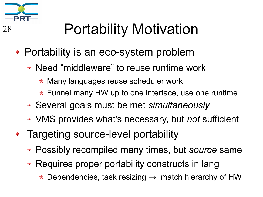

# <sup>28</sup> Portability Motivation

- Portability is an eco-system problem
	- Need "middleware" to reuse runtime work
		- ★ Many languages reuse scheduler work
		- $\star$  Funnel many HW up to one interface, use one runtime
	- Several goals must be met *simultaneously*
	- VMS provides what's necessary, but *not* sufficient
- Targeting source-level portability
	- Possibly recompiled many times, but *source* same
	- Requires proper portability constructs in lang
		- $\star$  Dependencies, task resizing  $\to$  match hierarchy of HW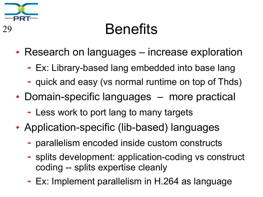

#### <sup>29</sup> Benefits

- Research on languages increase exploration
	- Ex: Library-based lang embedded into base lang
	- quick and easy (vs normal runtime on top of Thds)
- Domain-specific languages more practical
	- Less work to port lang to many targets
- Application-specific (lib-based) languages
	- parallelism encoded inside custom constructs
	- splits development: application-coding vs construct coding -- splits expertise cleanly
	- Ex: Implement parallelism in H.264 as language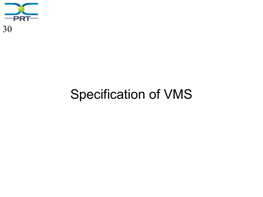

#### Specification of VMS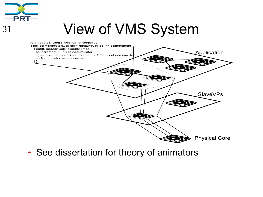

#### <sup>31</sup> View of VMS System



+ See dissertation for theory of animators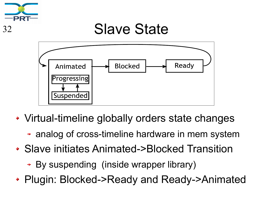

#### <sup>32</sup> Slave State



- Virtual-timeline globally orders state changes
	- analog of cross-timeline hardware in mem system
- Slave initiates Animated->Blocked Transition
	- By suspending (inside wrapper library)
- Plugin: Blocked->Ready and Ready->Animated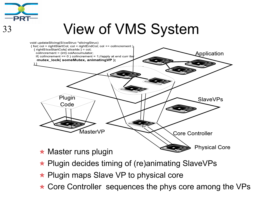

#### <sup>33</sup> View of VMS System



- \* Plugin decides timing of (re)animating SlaveVPs
- $\star$  Plugin maps Slave VP to physical core
- \* Core Controller sequences the phys core among the VPs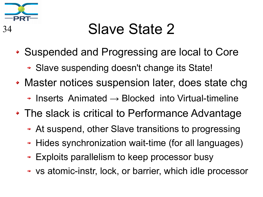

### <sup>34</sup> Slave State 2

- Suspended and Progressing are local to Core
	- Slave suspending doesn't change its State!
- Master notices suspension later, does state chg
	- $\rightarrow$  Inserts Animated  $\rightarrow$  Blocked into Virtual-timeline
- The slack is critical to Performance Advantage
	- At suspend, other Slave transitions to progressing
	- + Hides synchronization wait-time (for all languages)
	- Exploits parallelism to keep processor busy
	- vs atomic-instr, lock, or barrier, which idle processor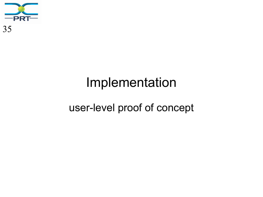

# Implementation user-level proof of concept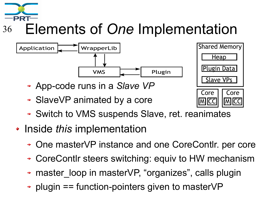

#### <sup>36</sup> Elements of *One* Implementation



- App-code runs in a *Slave VP*
- SlaveVP animated by a core



- Switch to VMS suspends Slave, ret. reanimates
- Inside *this* implementation
	- One masterVP instance and one CoreContlr. per core
	- CoreContlr steers switching: equiv to HW mechanism
	- master loop in masterVP, "organizes", calls plugin ÷
	- plugin == function-pointers given to masterVP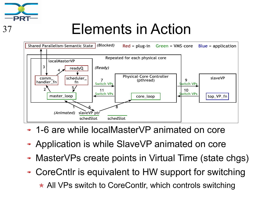

#### <sup>37</sup> Elements in Action



- 1-6 are while localMasterVP animated on core
- Application is while SlaveVP animated on core
- MasterVPs create points in Virtual Time (state chgs)
- CoreCntlr is equivalent to HW support for switching \* All VPs switch to CoreContlr, which controls switching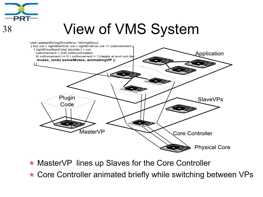

#### <sup>38</sup> View of VMS System



- \* MasterVP lines up Slaves for the Core Controller
- ★ Core Controller animated briefly while switching between VPs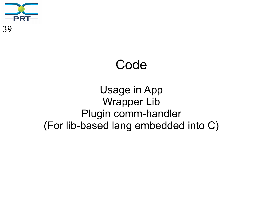

#### Code

#### Usage in App Wrapper Lib Plugin comm-handler (For lib-based lang embedded into C)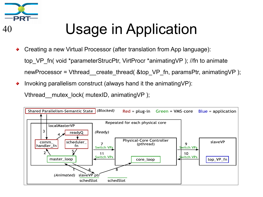

# <sup>40</sup> Usage in Application

- Creating a new Virtual Processor (after translation from App language): top VP fn( void \*parameterStrucPtr, VirtProcr \*animatingVP ); //fn to animate newProcessor = Vthread create thread( &top VP fn, paramsPtr, animatingVP );
- Invoking parallelism construct (always hand it the animatingVP):

Vthread mutex lock( mutexID, animatingVP );

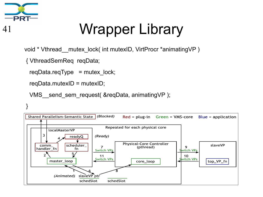

# <sup>41</sup> Wrapper Library

void \* Vthread\_\_mutex\_lock( int mutexID, VirtProcr \*animatingVP )

{ VthreadSemReq reqData;

```
reqData.reqType = mutex lock;
```

```
 reqData.mutexID = mutexID;
```

```
VMS send sem request( &reqData, animatingVP );
```

```
}
```
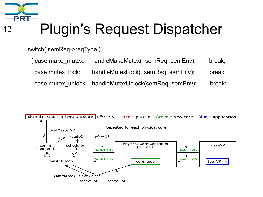

switch( semReq->reqType )

 { case make\_mutex: handleMakeMutex( semReq, semEnv); break; case mutex\_lock: handleMutexLock( semReq, semEnv); break; case mutex\_unlock: handleMutexUnlock(semReq, semEnv); break;

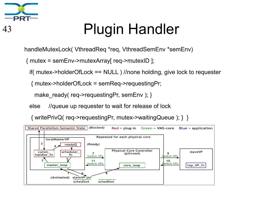

# <sup>43</sup> Plugin Handler

handleMutexLock( VthreadReq \*req, VthreadSemEnv \*semEnv)

{ mutex = semEnv->mutexArray[ req->mutexID ];

if( mutex->holderOfLock == NULL ) //none holding, give lock to requester

{ mutex->holderOfLock = semReq->requestingPr;

make ready( req- $>$ requestingPr, semEnv ); }

else //queue up requester to wait for release of lock

{ writePrivQ( req->requestingPr, mutex->waitingQueue ); } }

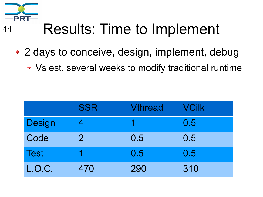

# <sup>44</sup> Results: Time to Implement

- 2 days to conceive, design, implement, debug
	- Vs est. several weeks to modify traditional runtime

|               | <b>SSR</b>     | <b>Vthread</b> | <b>VCilk</b> |
|---------------|----------------|----------------|--------------|
| <b>Design</b> |                |                | 0.5          |
| Code          | $\overline{2}$ | 0.5            | 0.5          |
| <b>Test</b>   |                | 0.5            | 0.5          |
| L.O.C.        | 470            | 290            | 310          |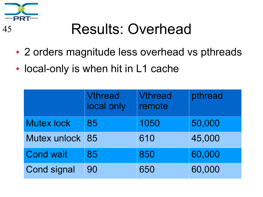

# <sup>45</sup> Results: Overhead

- 2 orders magnitude less overhead vs pthreads
- local-only is when hit in L1 cache

|                    | <b>Vthread</b><br>local only | <b>Vthread</b><br>remote | pthread |
|--------------------|------------------------------|--------------------------|---------|
| <b>Mutex lock</b>  | 85                           | 1050                     | 50,000  |
| Mutex unlock       | 85                           | 610                      | 45,000  |
| <b>Cond wait</b>   | 85                           | 850                      | 60,000  |
| <b>Cond signal</b> | 90                           | 650                      | 60,000  |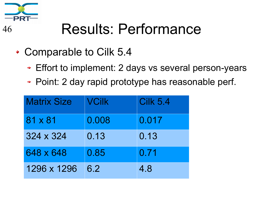

### <sup>46</sup> Results: Performance

- Comparable to Cilk 5.4
	- Effort to implement: 2 days vs several person-years
	- Point: 2 day rapid prototype has reasonable perf.

| <b>Matrix Size</b> | <b>VCilk</b> | <b>Cilk 5.4</b> |
|--------------------|--------------|-----------------|
| 81 x 81            | 0.008        | 0.017           |
| 324 x 324          | 0.13         | 0.13            |
| 648 x 648          | 0.85         | 0.71            |
| 1296 x 1296        | 6.2          | 4.8             |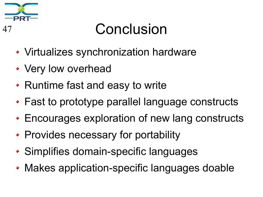

#### <sup>47</sup> Conclusion

- Virtualizes synchronization hardware
- Very low overhead
- Runtime fast and easy to write
- Fast to prototype parallel language constructs
- Encourages exploration of new lang constructs
- Provides necessary for portability
- Simplifies domain-specific languages
- Makes application-specific languages doable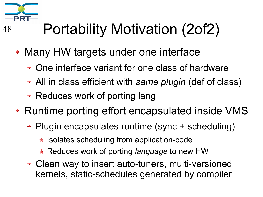

# <sup>48</sup> Portability Motivation (2of2)

- Many HW targets under one interface
	- One interface variant for one class of hardware
	- All in class efficient with *same plugin* (def of class)
	- Reduces work of porting lang
- Runtime porting effort encapsulated inside VMS
	- Plugin encapsulates runtime (sync + scheduling)
		- $\star$  Isolates scheduling from application-code
		- \* Reduces work of porting *language* to new HW
	- Clean way to insert auto-tuners, multi-versioned kernels, static-schedules generated by compiler